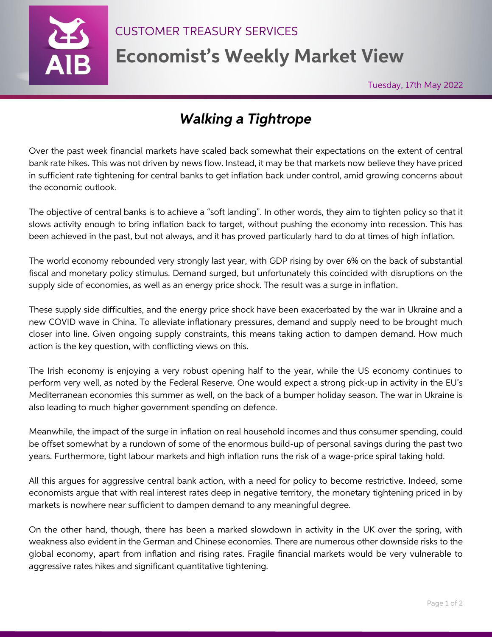

CUSTOMER TREASURY SERVICES

**Economist's Weekly Market View**

Aly 2016

Tuesday, 17th May 2022

## *Walking a Tightrope*

Over the past week financial markets have scaled back somewhat their expectations on the extent of central bank rate hikes. This was not driven by news flow. Instead, it may be that markets now believe they have priced in sufficient rate tightening for central banks to get inflation back under control, amid growing concerns about the economic outlook.

The objective of central banks is to achieve a "soft landing". In other words, they aim to tighten policy so that it slows activity enough to bring inflation back to target, without pushing the economy into recession. This has been achieved in the past, but not always, and it has proved particularly hard to do at times of high inflation.

The world economy rebounded very strongly last year, with GDP rising by over 6% on the back of substantial fiscal and monetary policy stimulus. Demand surged, but unfortunately this coincided with disruptions on the supply side of economies, as well as an energy price shock. The result was a surge in inflation.

These supply side difficulties, and the energy price shock have been exacerbated by the war in Ukraine and a new COVID wave in China. To alleviate inflationary pressures, demand and supply need to be brought much closer into line. Given ongoing supply constraints, this means taking action to dampen demand. How much action is the key question, with conflicting views on this.

The Irish economy is enjoying a very robust opening half to the year, while the US economy continues to perform very well, as noted by the Federal Reserve. One would expect a strong pick-up in activity in the EU's Mediterranean economies this summer as well, on the back of a bumper holiday season. The war in Ukraine is also leading to much higher government spending on defence.

Meanwhile, the impact of the surge in inflation on real household incomes and thus consumer spending, could be offset somewhat by a rundown of some of the enormous build-up of personal savings during the past two years. Furthermore, tight labour markets and high inflation runs the risk of a wage-price spiral taking hold.

All this argues for aggressive central bank action, with a need for policy to become restrictive. Indeed, some economists argue that with real interest rates deep in negative territory, the monetary tightening priced in by markets is nowhere near sufficient to dampen demand to any meaningful degree.

On the other hand, though, there has been a marked slowdown in activity in the UK over the spring, with weakness also evident in the German and Chinese economies. There are numerous other downside risks to the global economy, apart from inflation and rising rates. Fragile financial markets would be very vulnerable to aggressive rates hikes and significant quantitative tightening.